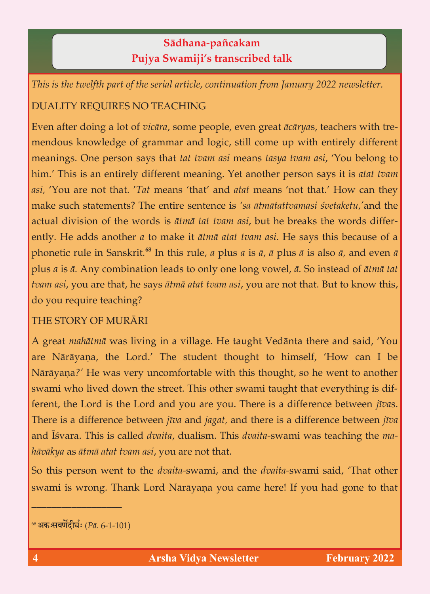## **Sädhana**-**païcakam Pujya Swamiji's transcribed talk**

*This is the twelfth part of the serial article, continuation from January 2022 newsletter.*

## DUALITY REQUIRES NO TEACHING

Even after doing a lot of *vicära*, some people, even great *äcärya*s, teachers with tremeanings. One person says that *tat tvam asi* means *tasya tvam asi*, 'You belong to him.' This is an entirely different meaning. Yet another person says it is *atat tvam asi*, 'You are not that. 'Tat means 'that' and atat means 'not that.' How can they make such statements? The entire sentence is 'sa atmatattvamasi svetaketu,' and the actual division of the words is *ātmā tat tvam asi*, but he breaks the words differently. He adds another *a* to make it *ātmā atat tvam asi*. He says this because of a ently. He adds another *a* to make it *ätmä atat tvam asi*. He says this because of a plus *a* is  $\bar{a}$ . Any combination leads to only one long vowel,  $\bar{a}$ . So instead of  $\bar{a}$ tma tat **<sup>68</sup>** In this rule, *a* plus *a* is *ä*, *ä* plus *ä* is also *ä,* and even *ä*  plus *a* is *ä.* Any combination leads to only one long vowel, *ä.* So instead of *ätmä tat tvam asi*, you are that, he says *ätmä atat tvam asi*, you are not that. But to know this, do you require teaching?

## THE STORY OF MURĀRI THE STORY OF MURÄRI

A great *mahätmä* was living in a village. He taught Vedänta there and said, 'You Nārāyaṇa?' He was very uncomfortable with this thought, so he went to another swami who lived down the street. This other swami taught that every thing is different, the Lord is the Lord and you are you. There is a difference between  $ij\bar{v}$  as. There is a difference between *jīva* and *jagat*, and there is a difference between *jīva* There is a difference between *jéva* and *jagat,* and there is a difference between *jéva*  and Éçvara. This is called *dvaita*, dualism. This *dvaita-*swami was teaching the *ma-*

*häväkya* as *ätmä atat tvam asi*, you are not that. So this person went to the *dvaita-*swami, and the *dvaita-*swami said, 'That other swami is well as well näräy  $\mathcal{L}_{\mathcal{A}}$  you to that  $\mathcal{A}_{\mathcal{A}}$ 

\_\_\_\_\_\_\_\_\_\_\_\_\_\_\_\_\_\_

<sup>&</sup>lt;sup>68</sup> अकःसवर्णेंदीर्घः (*Pā.* 6-1-101)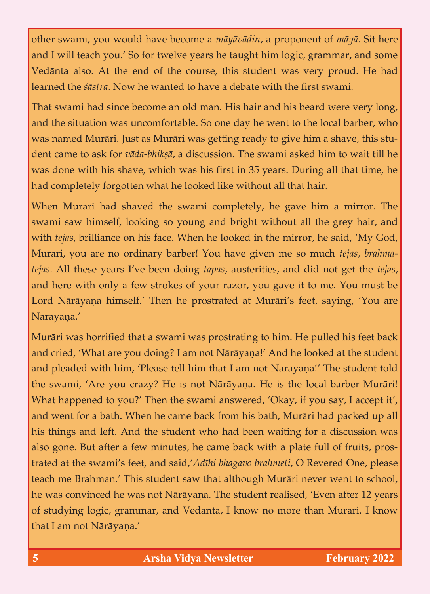other swami, you would have become a *mäyävädin*, a proponent of *mäyä*. Sit here Vedānta also. At the end of the course, this student was very proud. He had learned the *sāstra*. Now he wanted to have a debate with the first swami.

That swami had since become an old man. His hair and his beard were very long, and the situation was uncomfortable. So one day he went to the local barber, who was named Murāri. Just as Murāri was getting ready to give him a shave, this student came to ask for vāda-bhiksā, a discussion. The swami asked him to wait till he was done with his shave, which was his first in 35 years. During all that time, he had completely forgotten what he looked like without all that hair. had completely for gotten what he looked like without all that has had he looked like without all that hair.

When Murāri had shaved the swami completely, he gave him a mirror. The swami saw himself, looking so young and bright without all the grey hair, and with *tejas*, brilliance on his face. When he looked in the mirror, he said, 'My God, Murāri, you are no ordinary barber! You have given me so much *tejas, brahma*tejas. All these years I've been doing *tapas*, austerities, and did not get the *tejas*, and here with only a few strokes of your razor, you gave it to me. You must be  $\frac{1}{\sqrt{2}}$  $\sum_{i=1}^{n}$ Nārāyaņa.'

Murāri was horrified that a swami was prostrating to him. He pulled his feet back<br>and cried, 'What are you doing? I am not Nārāyaṇa!' And he looked at the student and pleaded with him, 'Please tell him that I am not Nārāyaṇa!' The student told the swami, 'Are you crazy? He is not Nārāyaṇa. He is the local barber Murāri! What happened to you?' Then the swami answered, 'Okay, if you say, I accept it', and went for a bath. When he came back from his bath, Murāri had packed up all his things and left. And the student who had been waiting for a discussion was also gone. But after a few minutes, he came back with a plate full of fruits, prostrated at the swami's feet, and said, 'Adīhi bhagavo brahmeti, O Revered One, please teach me Brahman.' This student saw that although Murāri never went to school, he was convinced he was not Nārāyana. The student realised, 'Even after 12 years he was convinced he was not Näräyaëa. The student realised, 'Even after 12 years  $\sigma$  studying logic, grammar, and Vedänta, I know no more than  $\sigma$ that I am not Nārāyaṇa.'